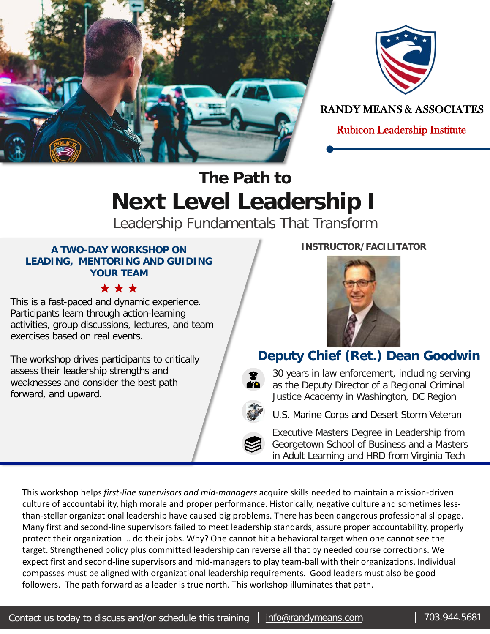



RANDY MEANS & ASSOCIATES

Rubicon Leadership Institute

# **The Path to Next Level Leadership I**

Leadership Fundamentals That Transform

#### **A TWO-DAY WORKSHOP ON LEADING, MENTORING AND GUIDING YOUR TEAM**

\*\*\*

This is a fast-paced and dynamic experience. Participants learn through action-learning activities, group discussions, lectures, and team exercises based on real events.

The workshop drives participants to critically assess their leadership strengths and weaknesses and consider the best path forward, and upward.



**INSTRUCTOR/FACILITATOR**

### **Deputy Chief (Ret.) Dean Goodwin**

30 years in law enforcement, including serving as the Deputy Director of a Regional Criminal Justice Academy in Washington, DC Region

U.S. Marine Corps and Desert Storm Veteran

Executive Masters Degree in Leadership from Georgetown School of Business and a Masters in Adult Learning and HRD from Virginia Tech

This workshop helps *first-line supervisors and mid-managers* acquire skills needed to maintain a mission-driven culture of accountability, high morale and proper performance. Historically, negative culture and sometimes lessthan-stellar organizational leadership have caused big problems. There has been dangerous professional slippage. Many first and second-line supervisors failed to meet leadership standards, assure proper accountability, properly protect their organization … do their jobs. Why? One cannot hit a behavioral target when one cannot see the target. Strengthened policy plus committed leadership can reverse all that by needed course corrections. We expect first and second-line supervisors and mid-managers to play team-ball with their organizations. Individual compasses must be aligned with organizational leadership requirements. Good leaders must also be good followers. The path forward as a leader is true north. This workshop illuminates that path.